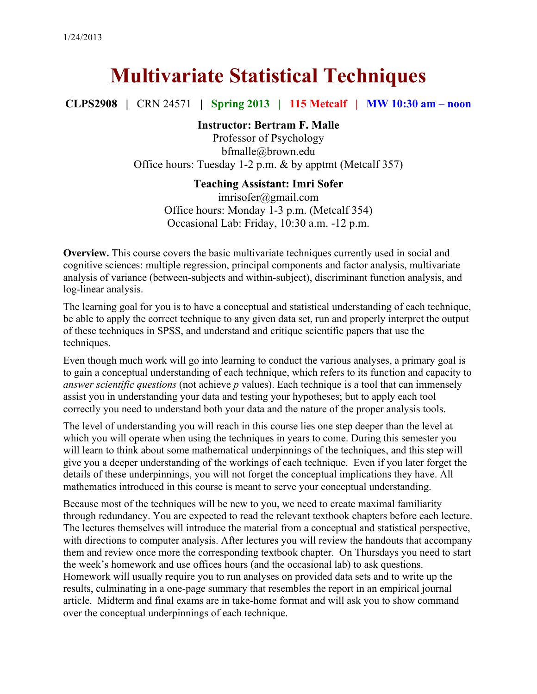# **Multivariate Statistical Techniques**

**CLPS2908 |** CRN 24571 **| Spring 2013 | 115 Metcalf | MW 10:30 am – noon**

## **Instructor: Bertram F. Malle**

Professor of Psychology bfmalle@brown.edu Office hours: Tuesday 1-2 p.m. & by apptmt (Metcalf 357)

## **Teaching Assistant: Imri Sofer**

imrisofer@gmail.com Office hours: Monday 1-3 p.m. (Metcalf 354) Occasional Lab: Friday, 10:30 a.m. -12 p.m.

**Overview.** This course covers the basic multivariate techniques currently used in social and cognitive sciences: multiple regression, principal components and factor analysis, multivariate analysis of variance (between-subjects and within-subject), discriminant function analysis, and log-linear analysis.

The learning goal for you is to have a conceptual and statistical understanding of each technique, be able to apply the correct technique to any given data set, run and properly interpret the output of these techniques in SPSS, and understand and critique scientific papers that use the techniques.

Even though much work will go into learning to conduct the various analyses, a primary goal is to gain a conceptual understanding of each technique, which refers to its function and capacity to *answer scientific questions* (not achieve *p* values). Each technique is a tool that can immensely assist you in understanding your data and testing your hypotheses; but to apply each tool correctly you need to understand both your data and the nature of the proper analysis tools.

The level of understanding you will reach in this course lies one step deeper than the level at which you will operate when using the techniques in years to come. During this semester you will learn to think about some mathematical underpinnings of the techniques, and this step will give you a deeper understanding of the workings of each technique. Even if you later forget the details of these underpinnings, you will not forget the conceptual implications they have. All mathematics introduced in this course is meant to serve your conceptual understanding.

Because most of the techniques will be new to you, we need to create maximal familiarity through redundancy. You are expected to read the relevant textbook chapters before each lecture. The lectures themselves will introduce the material from a conceptual and statistical perspective, with directions to computer analysis. After lectures you will review the handouts that accompany them and review once more the corresponding textbook chapter. On Thursdays you need to start the week's homework and use offices hours (and the occasional lab) to ask questions. Homework will usually require you to run analyses on provided data sets and to write up the results, culminating in a one-page summary that resembles the report in an empirical journal article. Midterm and final exams are in take-home format and will ask you to show command over the conceptual underpinnings of each technique.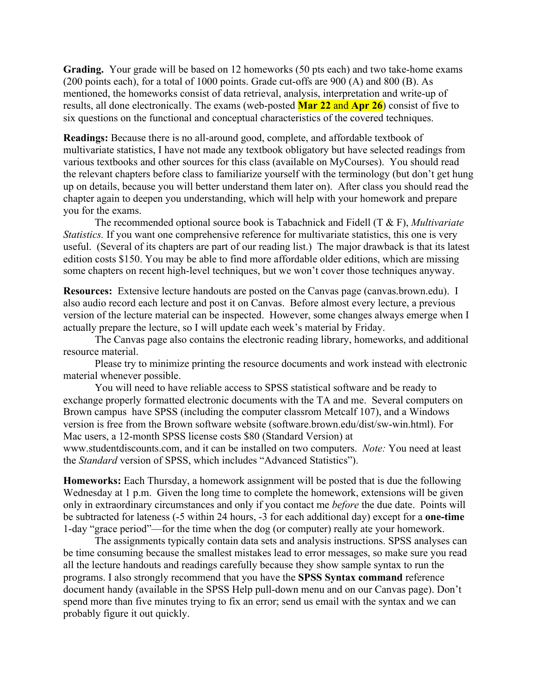**Grading.** Your grade will be based on 12 homeworks (50 pts each) and two take-home exams (200 points each), for a total of 1000 points. Grade cut-offs are 900 (A) and 800 (B). As mentioned, the homeworks consist of data retrieval, analysis, interpretation and write-up of results, all done electronically. The exams (web-posted **Mar 22** and **Apr 26**) consist of five to six questions on the functional and conceptual characteristics of the covered techniques.

**Readings:** Because there is no all-around good, complete, and affordable textbook of multivariate statistics, I have not made any textbook obligatory but have selected readings from various textbooks and other sources for this class (available on MyCourses). You should read the relevant chapters before class to familiarize yourself with the terminology (but don't get hung up on details, because you will better understand them later on). After class you should read the chapter again to deepen you understanding, which will help with your homework and prepare you for the exams.

The recommended optional source book is Tabachnick and Fidell (T & F), *Multivariate Statistics.* If you want one comprehensive reference for multivariate statistics, this one is very useful. (Several of its chapters are part of our reading list.) The major drawback is that its latest edition costs \$150. You may be able to find more affordable older editions, which are missing some chapters on recent high-level techniques, but we won't cover those techniques anyway.

**Resources:** Extensive lecture handouts are posted on the Canvas page (canvas.brown.edu). I also audio record each lecture and post it on Canvas. Before almost every lecture, a previous version of the lecture material can be inspected. However, some changes always emerge when I actually prepare the lecture, so I will update each week's material by Friday.

The Canvas page also contains the electronic reading library, homeworks, and additional resource material.

Please try to minimize printing the resource documents and work instead with electronic material whenever possible.

You will need to have reliable access to SPSS statistical software and be ready to exchange properly formatted electronic documents with the TA and me. Several computers on Brown campus have SPSS (including the computer classrom Metcalf 107), and a Windows version is free from the Brown software website (software.brown.edu/dist/sw-win.html). For Mac users, a 12-month SPSS license costs \$80 (Standard Version) at www.studentdiscounts.com, and it can be installed on two computers. *Note:* You need at least the *Standard* version of SPSS, which includes "Advanced Statistics").

**Homeworks:** Each Thursday, a homework assignment will be posted that is due the following Wednesday at 1 p.m. Given the long time to complete the homework, extensions will be given only in extraordinary circumstances and only if you contact me *before* the due date. Points will be subtracted for lateness (-5 within 24 hours, -3 for each additional day) except for a **one-time** 1-day "grace period"—for the time when the dog (or computer) really ate your homework.

The assignments typically contain data sets and analysis instructions. SPSS analyses can be time consuming because the smallest mistakes lead to error messages, so make sure you read all the lecture handouts and readings carefully because they show sample syntax to run the programs. I also strongly recommend that you have the **SPSS Syntax command** reference document handy (available in the SPSS Help pull-down menu and on our Canvas page). Don't spend more than five minutes trying to fix an error; send us email with the syntax and we can probably figure it out quickly.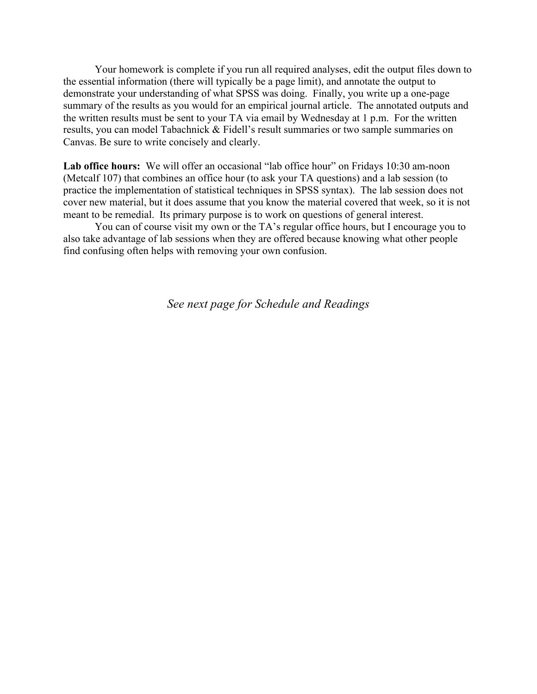Your homework is complete if you run all required analyses, edit the output files down to the essential information (there will typically be a page limit), and annotate the output to demonstrate your understanding of what SPSS was doing. Finally, you write up a one-page summary of the results as you would for an empirical journal article. The annotated outputs and the written results must be sent to your TA via email by Wednesday at 1 p.m. For the written results, you can model Tabachnick & Fidell's result summaries or two sample summaries on Canvas. Be sure to write concisely and clearly.

Lab office hours: We will offer an occasional "lab office hour" on Fridays 10:30 am-noon (Metcalf 107) that combines an office hour (to ask your TA questions) and a lab session (to practice the implementation of statistical techniques in SPSS syntax). The lab session does not cover new material, but it does assume that you know the material covered that week, so it is not meant to be remedial. Its primary purpose is to work on questions of general interest.

You can of course visit my own or the TA's regular office hours, but I encourage you to also take advantage of lab sessions when they are offered because knowing what other people find confusing often helps with removing your own confusion.

*See next page for Schedule and Readings*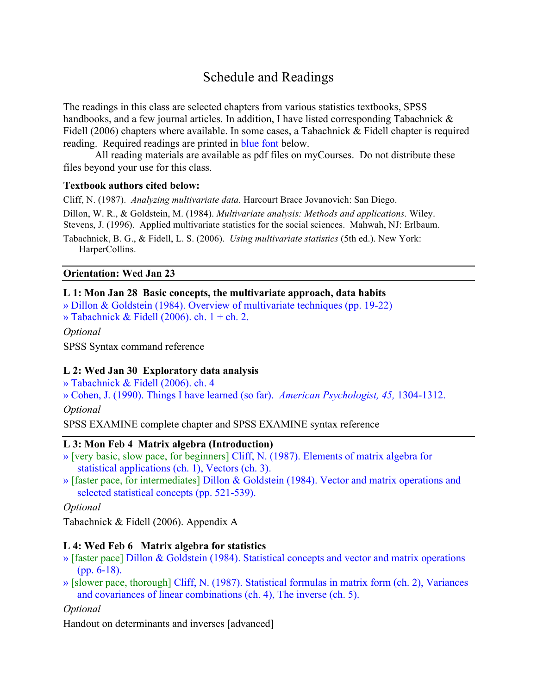# Schedule and Readings

The readings in this class are selected chapters from various statistics textbooks, SPSS handbooks, and a few journal articles. In addition, I have listed corresponding Tabachnick & Fidell (2006) chapters where available. In some cases, a Tabachnick & Fidell chapter is required reading. Required readings are printed in blue font below.

All reading materials are available as pdf files on myCourses. Do not distribute these files beyond your use for this class.

#### **Textbook authors cited below:**

Cliff, N. (1987). *Analyzing multivariate data.* Harcourt Brace Jovanovich: San Diego.

Dillon, W. R., & Goldstein, M. (1984). *Multivariate analysis: Methods and applications.* Wiley. Stevens, J. (1996). Applied multivariate statistics for the social sciences. Mahwah, NJ: Erlbaum.

Tabachnick, B. G., & Fidell, L. S. (2006). *Using multivariate statistics* (5th ed.). New York: HarperCollins.

#### **Orientation: Wed Jan 23**

#### **L 1: Mon Jan 28 Basic concepts, the multivariate approach, data habits**

» Dillon & Goldstein (1984). Overview of multivariate techniques (pp. 19-22) » Tabachnick & Fidell (2006). ch.  $1 + ch$ . 2.

*Optional*

SPSS Syntax command reference

## **L 2: Wed Jan 30 Exploratory data analysis**

» Tabachnick & Fidell (2006). ch. 4

» Cohen, J. (1990). Things I have learned (so far). *American Psychologist, 45,* 1304-1312. *Optional*

SPSS EXAMINE complete chapter and SPSS EXAMINE syntax reference

## **L 3: Mon Feb 4 Matrix algebra (Introduction)**

- » [very basic, slow pace, for beginners] Cliff, N. (1987). Elements of matrix algebra for statistical applications (ch. 1), Vectors (ch. 3).
- » [faster pace, for intermediates] Dillon & Goldstein (1984). Vector and matrix operations and selected statistical concepts (pp. 521-539).

*Optional*

Tabachnick & Fidell (2006). Appendix A

## **L 4: Wed Feb 6 Matrix algebra for statistics**

- » [faster pace] Dillon & Goldstein (1984). Statistical concepts and vector and matrix operations (pp. 6-18).
- » [slower pace, thorough] Cliff, N. (1987). Statistical formulas in matrix form (ch. 2), Variances and covariances of linear combinations (ch. 4), The inverse (ch. 5).

## *Optional*

Handout on determinants and inverses [advanced]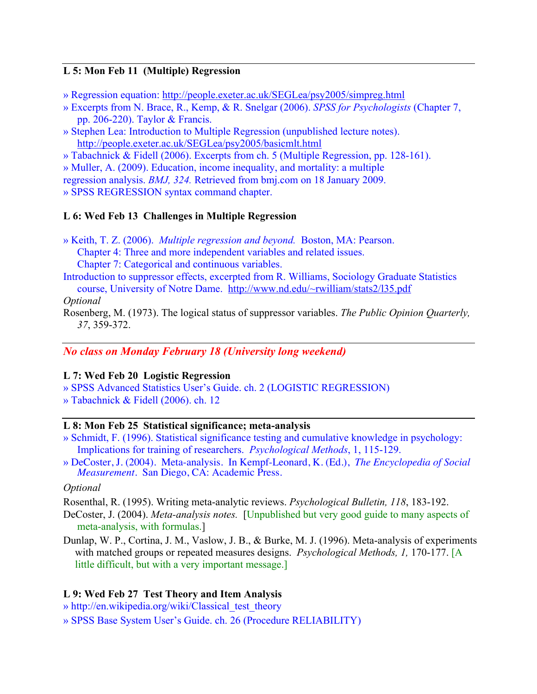## **L 5: Mon Feb 11 (Multiple) Regression**

» Regression equation: http://people.exeter.ac.uk/SEGLea/psy2005/simpreg.html

- » Excerpts from N. Brace, R., Kemp, & R. Snelgar (2006). *SPSS for Psychologists* (Chapter 7, pp. 206-220). Taylor & Francis.
- » Stephen Lea: Introduction to Multiple Regression (unpublished lecture notes). http://people.exeter.ac.uk/SEGLea/psy2005/basicmlt.html
- » Tabachnick & Fidell (2006). Excerpts from ch. 5 (Multiple Regression, pp. 128-161).

» Muller, A. (2009). Education, income inequality, and mortality: a multiple

regression analysis. *BMJ, 324.* Retrieved from bmj.com on 18 January 2009.

» SPSS REGRESSION syntax command chapter.

#### **L 6: Wed Feb 13 Challenges in Multiple Regression**

- » Keith, T. Z. (2006). *Multiple regression and beyond.* Boston, MA: Pearson. Chapter 4: Three and more independent variables and related issues. Chapter 7: Categorical and continuous variables.
- Introduction to suppressor effects, excerpted from R. Williams, Sociology Graduate Statistics course, University of Notre Dame. http://www.nd.edu/~rwilliam/stats2/l35.pdf

*Optional*

Rosenberg, M. (1973). The logical status of suppressor variables. *The Public Opinion Quarterly, 37*, 359-372.

#### *No class on Monday February 18 (University long weekend)*

#### **L 7: Wed Feb 20 Logistic Regression**

» SPSS Advanced Statistics User's Guide. ch. 2 (LOGISTIC REGRESSION) » Tabachnick & Fidell (2006). ch. 12

#### **L 8: Mon Feb 25 Statistical significance; meta-analysis**

- » Schmidt, F. (1996). Statistical significance testing and cumulative knowledge in psychology: Implications for training of researchers. *Psychological Methods*, 1, 115-129.
- » DeCoster, J. (2004). Meta-analysis. In Kempf-Leonard, K. (Ed.), *The Encyclopedia of Social Measurement.* San Diego, CA: Academic Press.

*Optional*

Rosenthal, R. (1995). Writing meta-analytic reviews. *Psychological Bulletin, 118*, 183-192.

- DeCoster, J. (2004). *Meta-analysis notes.* [Unpublished but very good guide to many aspects of meta-analysis, with formulas.]
- Dunlap, W. P., Cortina, J. M., Vaslow, J. B., & Burke, M. J. (1996). Meta-analysis of experiments with matched groups or repeated measures designs. *Psychological Methods, 1,* 170-177. [A little difficult, but with a very important message.]

#### **L 9: Wed Feb 27 Test Theory and Item Analysis**

» http://en.wikipedia.org/wiki/Classical\_test\_theory

» SPSS Base System User's Guide. ch. 26 (Procedure RELIABILITY)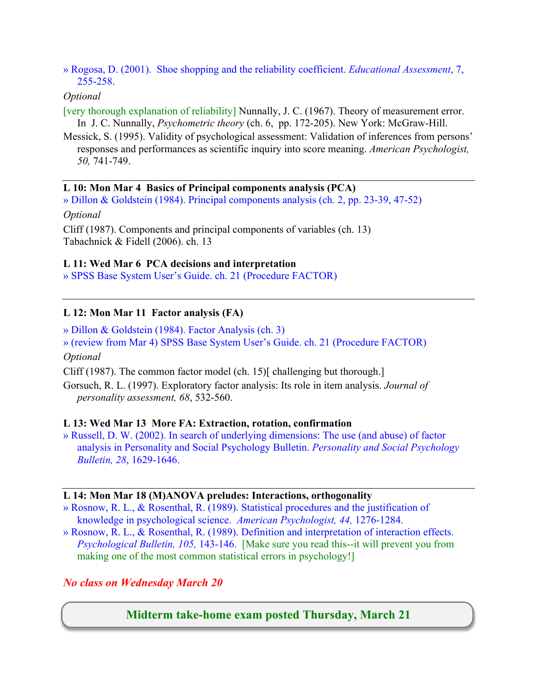» Rogosa, D. (2001). Shoe shopping and the reliability coefficient. *Educational Assessment*, 7, 255-258.

#### *Optional*

- [very thorough explanation of reliability] Nunnally, J. C. (1967). Theory of measurement error. In J. C. Nunnally, *Psychometric theory* (ch. 6, pp. 172-205). New York: McGraw-Hill.
- Messick, S. (1995). Validity of psychological assessment: Validation of inferences from persons' responses and performances as scientific inquiry into score meaning. *American Psychologist, 50,* 741-749.

#### **L 10: Mon Mar 4 Basics of Principal components analysis (PCA)**

» Dillon & Goldstein (1984). Principal components analysis (ch. 2, pp. 23-39, 47-52)

*Optional*

Cliff (1987). Components and principal components of variables (ch. 13) Tabachnick & Fidell (2006). ch. 13

#### **L 11: Wed Mar 6 PCA decisions and interpretation**

» SPSS Base System User's Guide. ch. 21 (Procedure FACTOR)

## **L 12: Mon Mar 11 Factor analysis (FA)**

» Dillon & Goldstein (1984). Factor Analysis (ch. 3) » (review from Mar 4) SPSS Base System User's Guide. ch. 21 (Procedure FACTOR) *Optional*

Cliff (1987). The common factor model (ch. 15)[ challenging but thorough.]

Gorsuch, R. L. (1997). Exploratory factor analysis: Its role in item analysis. *Journal of personality assessment, 68*, 532-560.

#### **L 13: Wed Mar 13 More FA: Extraction, rotation, confirmation**

» Russell, D. W. (2002). In search of underlying dimensions: The use (and abuse) of factor analysis in Personality and Social Psychology Bulletin. *Personality and Social Psychology Bulletin, 28*, 1629-1646.

#### **L 14: Mon Mar 18 (M)ANOVA preludes: Interactions, orthogonality**

- » Rosnow, R. L., & Rosenthal, R. (1989). Statistical procedures and the justification of knowledge in psychological science. *American Psychologist, 44,* 1276-1284.
- » Rosnow, R. L., & Rosenthal, R. (1989). Definition and interpretation of interaction effects. *Psychological Bulletin, 105,* 143-146. [Make sure you read this--it will prevent you from making one of the most common statistical errors in psychology!]

## *No class on Wednesday March 20*

## **Midterm take-home exam posted Thursday, March 21**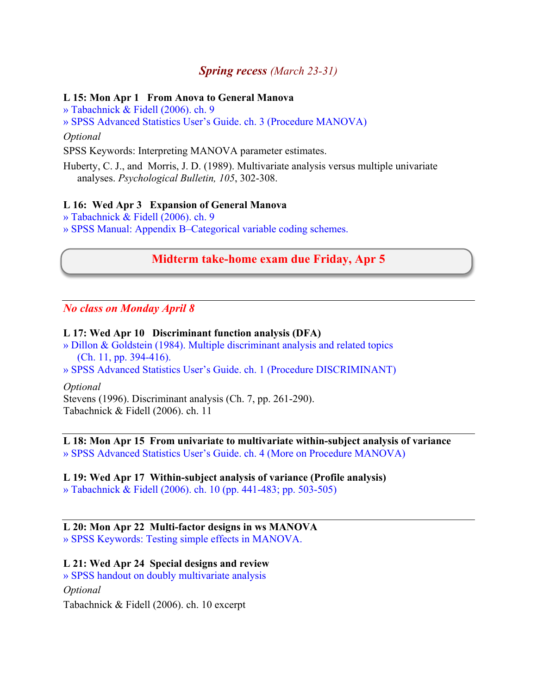## *Spring recess (March 23-31)*

#### **L 15: Mon Apr 1 From Anova to General Manova**

» Tabachnick & Fidell (2006). ch. 9

» SPSS Advanced Statistics User's Guide. ch. 3 (Procedure MANOVA)

*Optional*

SPSS Keywords: Interpreting MANOVA parameter estimates.

Huberty, C. J., and Morris, J. D. (1989). Multivariate analysis versus multiple univariate analyses. *Psychological Bulletin, 105*, 302-308.

#### **L 16: Wed Apr 3 Expansion of General Manova**

» Tabachnick & Fidell (2006). ch. 9

» SPSS Manual: Appendix B–Categorical variable coding schemes.

## **Midterm take-home exam due Friday, Apr 5**

*No class on Monday April 8* 

#### **L 17: Wed Apr 10 Discriminant function analysis (DFA)**

» Dillon & Goldstein (1984). Multiple discriminant analysis and related topics (Ch. 11, pp. 394-416).

» SPSS Advanced Statistics User's Guide. ch. 1 (Procedure DISCRIMINANT)

*Optional*

Stevens (1996). Discriminant analysis (Ch. 7, pp. 261-290). Tabachnick & Fidell (2006). ch. 11

## **L 18: Mon Apr 15 From univariate to multivariate within-subject analysis of variance**

» SPSS Advanced Statistics User's Guide. ch. 4 (More on Procedure MANOVA)

#### **L 19: Wed Apr 17 Within-subject analysis of variance (Profile analysis)**

» Tabachnick & Fidell (2006). ch. 10 (pp. 441-483; pp. 503-505)

#### **L 20: Mon Apr 22 Multi-factor designs in ws MANOVA**

» SPSS Keywords: Testing simple effects in MANOVA.

## **L 21: Wed Apr 24 Special designs and review**

» SPSS handout on doubly multivariate analysis

#### *Optional*

Tabachnick & Fidell (2006). ch. 10 excerpt